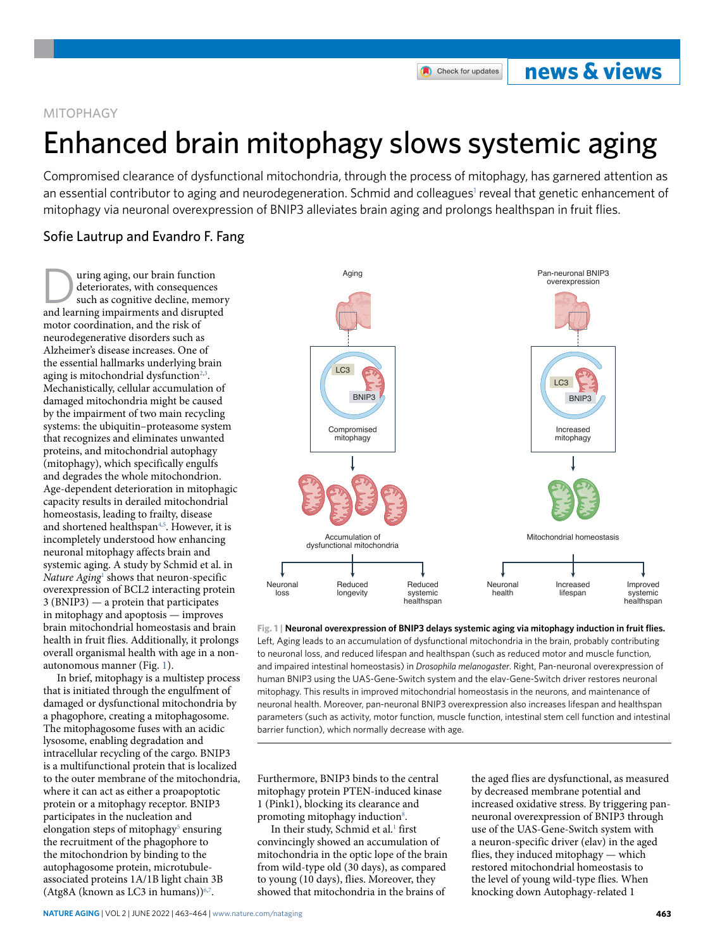## **Nature Aging** | VOL 2 | June 2022 | 463–464 | [www.nature.com/nataging](http://www.nature.com/nataging)

## MITOPHAGY

# Enhanced brain mitophagy slows systemic aging

Compromised clearance of dysfunctional mitochondria, through the process of mitophagy, has garnered attention as an essential contributor to aging and neurodegeneration. Schmid and colleagues<sup>[1](#page-1-0)</sup> reveal that genetic enhancement of mitophagy via neuronal overexpression of BNIP3 alleviates brain aging and prolongs healthspan in fruit fies.

## Sofie Lautrup and Evandro F. Fang

uring aging, our brain function deteriorates, with consequences such as cognitive decline, memory and learning impairments and disrupted motor coordination, and the risk of neurodegenerative disorders such as Alzheimer's disease increases. One of the essential hallmarks underlying brain aging is mitochondrial dysfunction $2,3$  $2,3$ . Mechanistically, cellular accumulation of damaged mitochondria might be caused by the impairment of two main recycling systems: the ubiquitin–proteasome system that recognizes and eliminates unwanted proteins, and mitochondrial autophagy (mitophagy), which specifically engulfs and degrades the whole mitochondrion. Age-dependent deterioration in mitophagic capacity results in derailed mitochondrial homeostasis, leading to frailty, disease and shortened healthspan<sup>[4](#page-1-3),[5](#page-1-4)</sup>. However, it is incompletely understood how enhancing neuronal mitophagy affects brain and systemic aging. A study by Schmid et al. in Nature Aging<sup>[1](#page-1-0)</sup> shows that neuron-specific overexpression of BCL2 interacting protein 3 (BNIP3) — a protein that participates in mitophagy and apoptosis — improves brain mitochondrial homeostasis and brain health in fruit flies. Additionally, it prolongs overall organismal health with age in a nonautonomous manner (Fig. [1](#page-0-0)).

In brief, mitophagy is a multistep process that is initiated through the engulfment of damaged or dysfunctional mitochondria by a phagophore, creating a mitophagosome. The mitophagosome fuses with an acidic lysosome, enabling degradation and intracellular recycling of the cargo. BNIP3 is a multifunctional protein that is localized to the outer membrane of the mitochondria, where it can act as either a proapoptotic protein or a mitophagy receptor. BNIP3 participates in the nucleation and elongation steps of mitophagy<sup>5</sup> ensuring the recruitment of the phagophore to the mitochondrion by binding to the autophagosome protein, microtubuleassociated proteins 1A/1B light chain 3B  $(Atg8A (known as LC3 in humans))<sup>6,7</sup>.$  $(Atg8A (known as LC3 in humans))<sup>6,7</sup>.$  $(Atg8A (known as LC3 in humans))<sup>6,7</sup>.$  $(Atg8A (known as LC3 in humans))<sup>6,7</sup>.$  $(Atg8A (known as LC3 in humans))<sup>6,7</sup>.$ 

<span id="page-0-0"></span>**Fig. 1 | Neuronal overexpression of BNIP3 delays systemic aging via mitophagy induction in fruit flies.** Left, Aging leads to an accumulation of dysfunctional mitochondria in the brain, probably contributing to neuronal loss, and reduced lifespan and healthspan (such as reduced motor and muscle function, and impaired intestinal homeostasis) in *Drosophila melanogaster*. Right, Pan-neuronal overexpression of human BNIP3 using the UAS-Gene-Switch system and the elav-Gene-Switch driver restores neuronal mitophagy. This results in improved mitochondrial homeostasis in the neurons, and maintenance of neuronal health. Moreover, pan-neuronal BNIP3 overexpression also increases lifespan and healthspan parameters (such as activity, motor function, muscle function, intestinal stem cell function and intestinal barrier function), which normally decrease with age.

Furthermore, BNIP3 binds to the central mitophagy protein PTEN-induced kinase 1 (Pink1), blocking its clearance and promoting mitophagy induction<sup>[8](#page-1-7)</sup>.

In their study, Schmid et al.<sup>1</sup> first convincingly showed an accumulation of mitochondria in the optic lope of the brain from wild-type old (30 days), as compared to young (10 days), flies. Moreover, they showed that mitochondria in the brains of

the aged flies are dysfunctional, as measured by decreased membrane potential and increased oxidative stress. By triggering panneuronal overexpression of BNIP3 through use of the UAS-Gene-Switch system with a neuron-specific driver (elav) in the aged flies, they induced mitophagy — which restored mitochondrial homeostasis to the level of young wild-type flies. When knocking down Autophagy-related 1





Check for updates

**news & views**